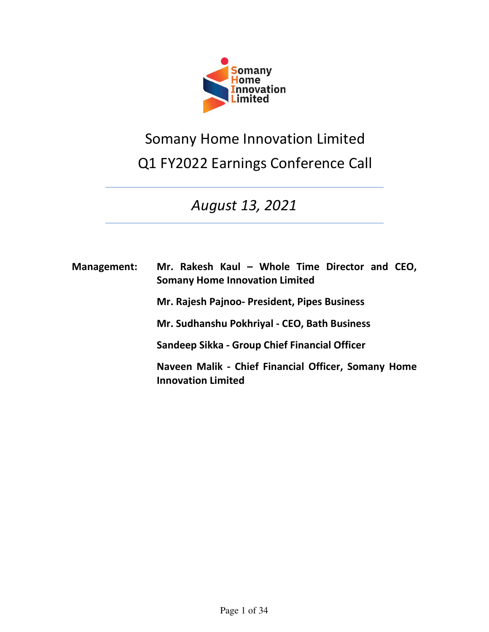

# Somany Home Innovation Limited Q1 FY2022 Earnings Conference Call

# *August 13, 2021*

| <b>Management:</b> | Mr. Rakesh Kaul - Whole Time Director and CEO,<br><b>Somany Home Innovation Limited</b> |
|--------------------|-----------------------------------------------------------------------------------------|
|                    | Mr. Rajesh Pajnoo- President, Pipes Business                                            |
|                    | Mr. Sudhanshu Pokhriyal - CEO, Bath Business                                            |
|                    | Sandeep Sikka - Group Chief Financial Officer                                           |
|                    | Naveen Malik - Chief Financial Officer, Somany Home<br><b>Innovation Limited</b>        |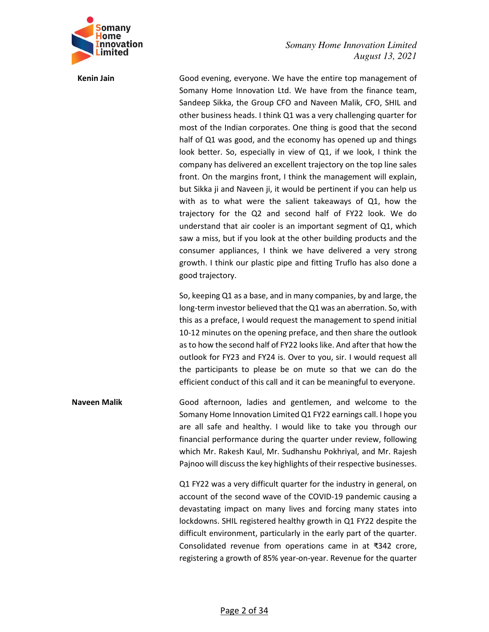

**Kenin Jain** Good evening, everyone. We have the entire top management of Somany Home Innovation Ltd. We have from the finance team, Sandeep Sikka, the Group CFO and Naveen Malik, CFO, SHIL and other business heads. I think Q1 was a very challenging quarter for most of the Indian corporates. One thing is good that the second half of Q1 was good, and the economy has opened up and things look better. So, especially in view of Q1, if we look, I think the company has delivered an excellent trajectory on the top line sales front. On the margins front, I think the management will explain, but Sikka ji and Naveen ji, it would be pertinent if you can help us with as to what were the salient takeaways of Q1, how the trajectory for the Q2 and second half of FY22 look. We do understand that air cooler is an important segment of Q1, which saw a miss, but if you look at the other building products and the consumer appliances, I think we have delivered a very strong growth. I think our plastic pipe and fitting Truflo has also done a good trajectory.

> So, keeping Q1 as a base, and in many companies, by and large, the long-term investor believed that the Q1 was an aberration. So, with this as a preface, I would request the management to spend initial 10-12 minutes on the opening preface, and then share the outlook as to how the second half of FY22 looks like. And after that how the outlook for FY23 and FY24 is. Over to you, sir. I would request all the participants to please be on mute so that we can do the efficient conduct of this call and it can be meaningful to everyone.

**Naveen Malik** Good afternoon, ladies and gentlemen, and welcome to the Somany Home Innovation Limited Q1 FY22 earnings call. I hope you are all safe and healthy. I would like to take you through our financial performance during the quarter under review, following which Mr. Rakesh Kaul, Mr. Sudhanshu Pokhriyal, and Mr. Rajesh Pajnoo will discuss the key highlights of their respective businesses.

> Q1 FY22 was a very difficult quarter for the industry in general, on account of the second wave of the COVID-19 pandemic causing a devastating impact on many lives and forcing many states into lockdowns. SHIL registered healthy growth in Q1 FY22 despite the difficult environment, particularly in the early part of the quarter. Consolidated revenue from operations came in at ₹342 crore, registering a growth of 85% year-on-year. Revenue for the quarter

#### Page 2 of 34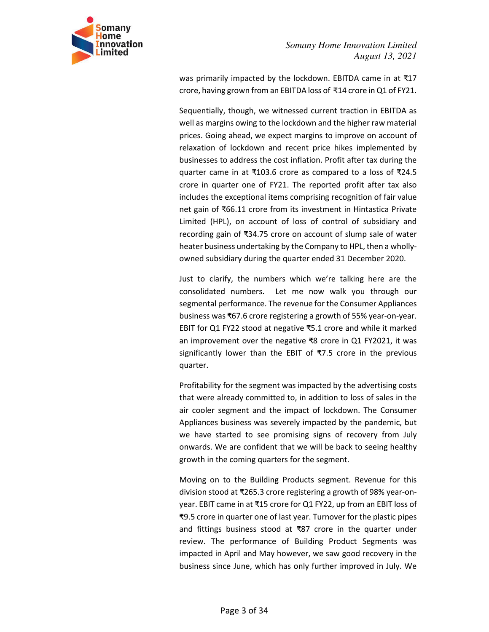

was primarily impacted by the lockdown. EBITDA came in at ₹17 crore, having grown from an EBITDA loss of ₹14 crore in Q1 of FY21.

Sequentially, though, we witnessed current traction in EBITDA as well as margins owing to the lockdown and the higher raw material prices. Going ahead, we expect margins to improve on account of relaxation of lockdown and recent price hikes implemented by businesses to address the cost inflation. Profit after tax during the quarter came in at ₹103.6 crore as compared to a loss of ₹24.5 crore in quarter one of FY21. The reported profit after tax also includes the exceptional items comprising recognition of fair value net gain of ₹66.11 crore from its investment in Hintastica Private Limited (HPL), on account of loss of control of subsidiary and recording gain of ₹34.75 crore on account of slump sale of water heater business undertaking by the Company to HPL, then a whollyowned subsidiary during the quarter ended 31 December 2020.

Just to clarify, the numbers which we're talking here are the consolidated numbers. Let me now walk you through our segmental performance. The revenue for the Consumer Appliances business was ₹67.6 crore registering a growth of 55% year-on-year. EBIT for Q1 FY22 stood at negative ₹5.1 crore and while it marked an improvement over the negative ₹8 crore in Q1 FY2021, it was significantly lower than the EBIT of ₹7.5 crore in the previous quarter.

Profitability for the segment was impacted by the advertising costs that were already committed to, in addition to loss of sales in the air cooler segment and the impact of lockdown. The Consumer Appliances business was severely impacted by the pandemic, but we have started to see promising signs of recovery from July onwards. We are confident that we will be back to seeing healthy growth in the coming quarters for the segment.

Moving on to the Building Products segment. Revenue for this division stood at ₹265.3 crore registering a growth of 98% year-onyear. EBIT came in at ₹15 crore for Q1 FY22, up from an EBIT loss of ₹9.5 crore in quarter one of last year. Turnover for the plastic pipes and fittings business stood at ₹87 crore in the quarter under review. The performance of Building Product Segments was impacted in April and May however, we saw good recovery in the business since June, which has only further improved in July. We

#### Page 3 of 34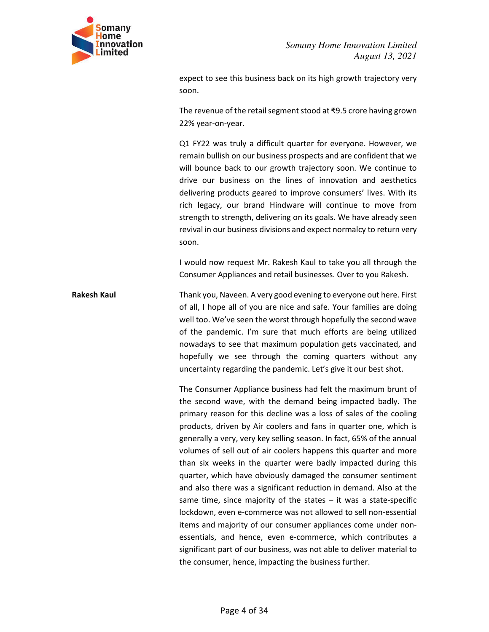

expect to see this business back on its high growth trajectory very soon.

The revenue of the retail segment stood at ₹9.5 crore having grown 22% year-on-year.

Q1 FY22 was truly a difficult quarter for everyone. However, we remain bullish on our business prospects and are confident that we will bounce back to our growth trajectory soon. We continue to drive our business on the lines of innovation and aesthetics delivering products geared to improve consumers' lives. With its rich legacy, our brand Hindware will continue to move from strength to strength, delivering on its goals. We have already seen revival in our business divisions and expect normalcy to return very soon.

I would now request Mr. Rakesh Kaul to take you all through the Consumer Appliances and retail businesses. Over to you Rakesh.

**Rakesh Kaul** Thank you, Naveen. A very good evening to everyone out here. First of all, I hope all of you are nice and safe. Your families are doing well too. We've seen the worst through hopefully the second wave of the pandemic. I'm sure that much efforts are being utilized nowadays to see that maximum population gets vaccinated, and hopefully we see through the coming quarters without any uncertainty regarding the pandemic. Let's give it our best shot.

> The Consumer Appliance business had felt the maximum brunt of the second wave, with the demand being impacted badly. The primary reason for this decline was a loss of sales of the cooling products, driven by Air coolers and fans in quarter one, which is generally a very, very key selling season. In fact, 65% of the annual volumes of sell out of air coolers happens this quarter and more than six weeks in the quarter were badly impacted during this quarter, which have obviously damaged the consumer sentiment and also there was a significant reduction in demand. Also at the same time, since majority of the states  $-$  it was a state-specific lockdown, even e-commerce was not allowed to sell non-essential items and majority of our consumer appliances come under nonessentials, and hence, even e-commerce, which contributes a significant part of our business, was not able to deliver material to the consumer, hence, impacting the business further.

> > Page 4 of 34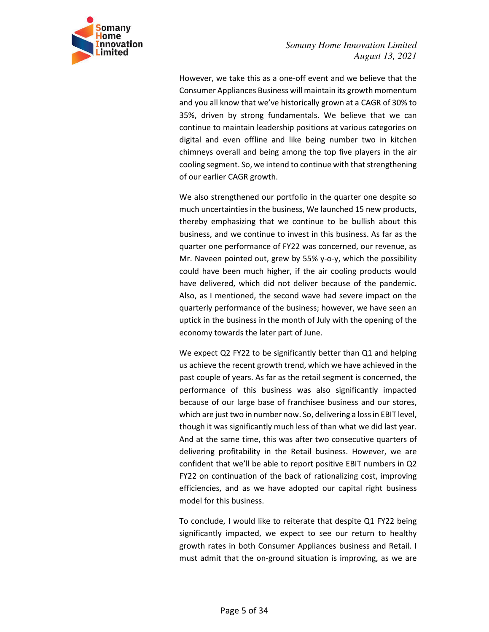

However, we take this as a one-off event and we believe that the Consumer Appliances Business will maintain its growth momentum and you all know that we've historically grown at a CAGR of 30% to 35%, driven by strong fundamentals. We believe that we can continue to maintain leadership positions at various categories on digital and even offline and like being number two in kitchen chimneys overall and being among the top five players in the air cooling segment. So, we intend to continue with that strengthening of our earlier CAGR growth.

We also strengthened our portfolio in the quarter one despite so much uncertainties in the business, We launched 15 new products, thereby emphasizing that we continue to be bullish about this business, and we continue to invest in this business. As far as the quarter one performance of FY22 was concerned, our revenue, as Mr. Naveen pointed out, grew by 55% y-o-y, which the possibility could have been much higher, if the air cooling products would have delivered, which did not deliver because of the pandemic. Also, as I mentioned, the second wave had severe impact on the quarterly performance of the business; however, we have seen an uptick in the business in the month of July with the opening of the economy towards the later part of June.

We expect Q2 FY22 to be significantly better than Q1 and helping us achieve the recent growth trend, which we have achieved in the past couple of years. As far as the retail segment is concerned, the performance of this business was also significantly impacted because of our large base of franchisee business and our stores, which are just two in number now. So, delivering a loss in EBIT level, though it was significantly much less of than what we did last year. And at the same time, this was after two consecutive quarters of delivering profitability in the Retail business. However, we are confident that we'll be able to report positive EBIT numbers in Q2 FY22 on continuation of the back of rationalizing cost, improving efficiencies, and as we have adopted our capital right business model for this business.

To conclude, I would like to reiterate that despite Q1 FY22 being significantly impacted, we expect to see our return to healthy growth rates in both Consumer Appliances business and Retail. I must admit that the on-ground situation is improving, as we are

#### Page 5 of 34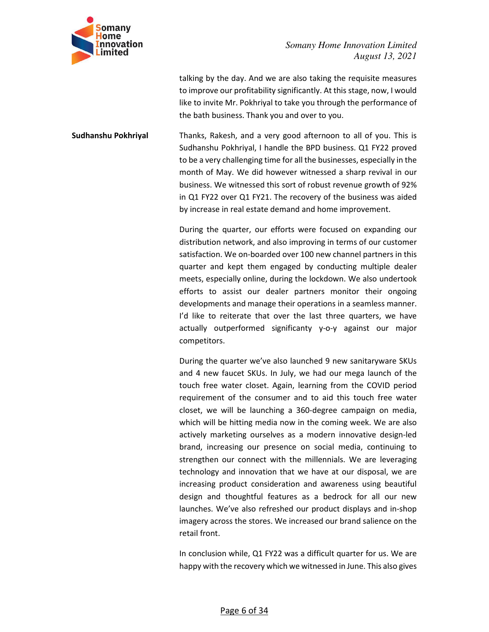

talking by the day. And we are also taking the requisite measures to improve our profitability significantly. At this stage, now, I would like to invite Mr. Pokhriyal to take you through the performance of the bath business. Thank you and over to you.

**Sudhanshu Pokhriyal** Thanks, Rakesh, and a very good afternoon to all of you. This is Sudhanshu Pokhriyal, I handle the BPD business. Q1 FY22 proved to be a very challenging time for all the businesses, especially in the month of May. We did however witnessed a sharp revival in our business. We witnessed this sort of robust revenue growth of 92% in Q1 FY22 over Q1 FY21. The recovery of the business was aided by increase in real estate demand and home improvement.

> During the quarter, our efforts were focused on expanding our distribution network, and also improving in terms of our customer satisfaction. We on-boarded over 100 new channel partners in this quarter and kept them engaged by conducting multiple dealer meets, especially online, during the lockdown. We also undertook efforts to assist our dealer partners monitor their ongoing developments and manage their operations in a seamless manner. I'd like to reiterate that over the last three quarters, we have actually outperformed significanty y-o-y against our major competitors.

> During the quarter we've also launched 9 new sanitaryware SKUs and 4 new faucet SKUs. In July, we had our mega launch of the touch free water closet. Again, learning from the COVID period requirement of the consumer and to aid this touch free water closet, we will be launching a 360-degree campaign on media, which will be hitting media now in the coming week. We are also actively marketing ourselves as a modern innovative design-led brand, increasing our presence on social media, continuing to strengthen our connect with the millennials. We are leveraging technology and innovation that we have at our disposal, we are increasing product consideration and awareness using beautiful design and thoughtful features as a bedrock for all our new launches. We've also refreshed our product displays and in-shop imagery across the stores. We increased our brand salience on the retail front.

> In conclusion while, Q1 FY22 was a difficult quarter for us. We are happy with the recovery which we witnessed in June. This also gives

#### Page 6 of 34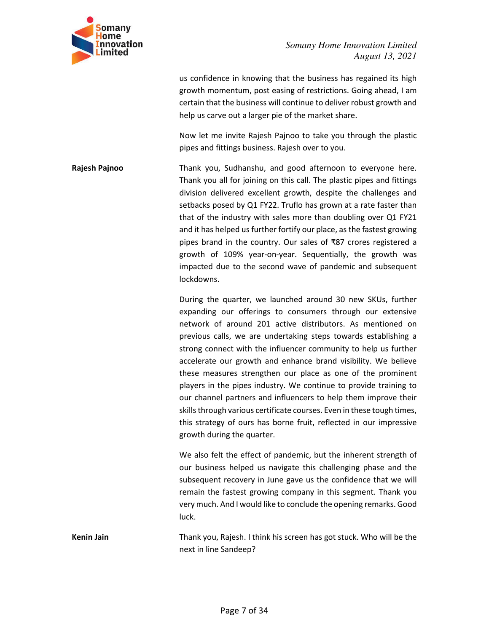

us confidence in knowing that the business has regained its high growth momentum, post easing of restrictions. Going ahead, I am certain that the business will continue to deliver robust growth and help us carve out a larger pie of the market share.

Now let me invite Rajesh Pajnoo to take you through the plastic pipes and fittings business. Rajesh over to you.

**Rajesh Pajnoo** Thank you, Sudhanshu, and good afternoon to everyone here. Thank you all for joining on this call. The plastic pipes and fittings division delivered excellent growth, despite the challenges and setbacks posed by Q1 FY22. Truflo has grown at a rate faster than that of the industry with sales more than doubling over Q1 FY21 and it has helped us further fortify our place, as the fastest growing pipes brand in the country. Our sales of ₹87 crores registered a growth of 109% year-on-year. Sequentially, the growth was impacted due to the second wave of pandemic and subsequent lockdowns.

> During the quarter, we launched around 30 new SKUs, further expanding our offerings to consumers through our extensive network of around 201 active distributors. As mentioned on previous calls, we are undertaking steps towards establishing a strong connect with the influencer community to help us further accelerate our growth and enhance brand visibility. We believe these measures strengthen our place as one of the prominent players in the pipes industry. We continue to provide training to our channel partners and influencers to help them improve their skills through various certificate courses. Even in these tough times, this strategy of ours has borne fruit, reflected in our impressive growth during the quarter.

> We also felt the effect of pandemic, but the inherent strength of our business helped us navigate this challenging phase and the subsequent recovery in June gave us the confidence that we will remain the fastest growing company in this segment. Thank you very much. And I would like to conclude the opening remarks. Good luck.

**Kenin Jain** Thank you, Rajesh. I think his screen has got stuck. Who will be the next in line Sandeep?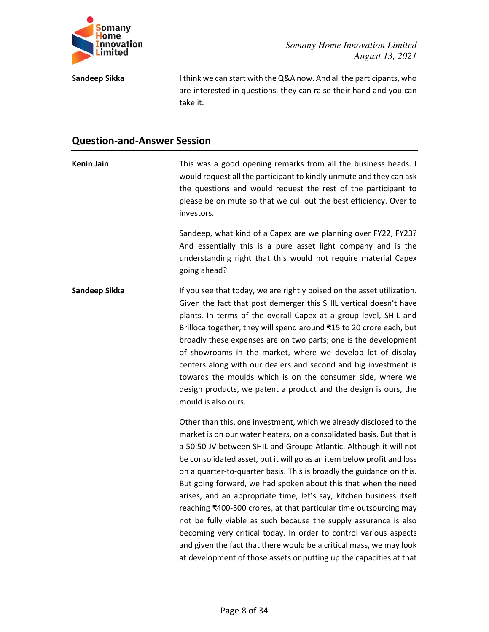

**Sandeep Sikka** I think we can start with the Q&A now. And all the participants, who are interested in questions, they can raise their hand and you can take it.

# **Question-and-Answer Session**

| <b>Kenin Jain</b> | This was a good opening remarks from all the business heads. I<br>would request all the participant to kindly unmute and they can ask<br>the questions and would request the rest of the participant to<br>please be on mute so that we cull out the best efficiency. Over to<br>investors.                                                                                                                                                                                                                                                                                                                                                                                                                                                                                                                                                                            |
|-------------------|------------------------------------------------------------------------------------------------------------------------------------------------------------------------------------------------------------------------------------------------------------------------------------------------------------------------------------------------------------------------------------------------------------------------------------------------------------------------------------------------------------------------------------------------------------------------------------------------------------------------------------------------------------------------------------------------------------------------------------------------------------------------------------------------------------------------------------------------------------------------|
|                   | Sandeep, what kind of a Capex are we planning over FY22, FY23?<br>And essentially this is a pure asset light company and is the<br>understanding right that this would not require material Capex<br>going ahead?                                                                                                                                                                                                                                                                                                                                                                                                                                                                                                                                                                                                                                                      |
| Sandeep Sikka     | If you see that today, we are rightly poised on the asset utilization.<br>Given the fact that post demerger this SHIL vertical doesn't have<br>plants. In terms of the overall Capex at a group level, SHIL and<br>Brilloca together, they will spend around ₹15 to 20 crore each, but<br>broadly these expenses are on two parts; one is the development<br>of showrooms in the market, where we develop lot of display<br>centers along with our dealers and second and big investment is<br>towards the moulds which is on the consumer side, where we<br>design products, we patent a product and the design is ours, the<br>mould is also ours.                                                                                                                                                                                                                   |
|                   | Other than this, one investment, which we already disclosed to the<br>market is on our water heaters, on a consolidated basis. But that is<br>a 50:50 JV between SHIL and Groupe Atlantic. Although it will not<br>be consolidated asset, but it will go as an item below profit and loss<br>on a quarter-to-quarter basis. This is broadly the guidance on this.<br>But going forward, we had spoken about this that when the need<br>arises, and an appropriate time, let's say, kitchen business itself<br>reaching ₹400-500 crores, at that particular time outsourcing may<br>not be fully viable as such because the supply assurance is also<br>becoming very critical today. In order to control various aspects<br>and given the fact that there would be a critical mass, we may look<br>at development of those assets or putting up the capacities at that |

Page 8 of 34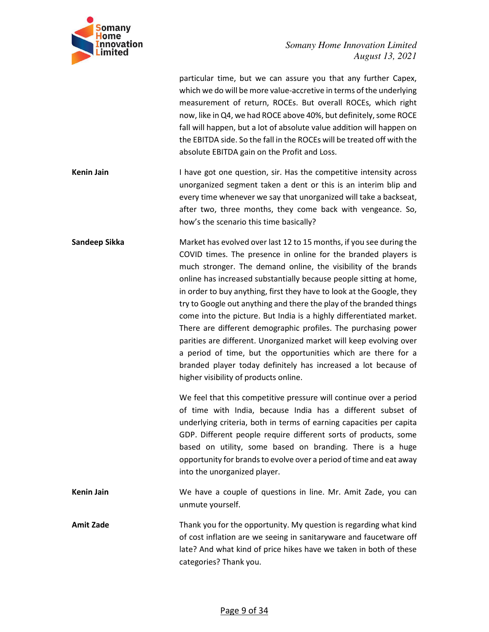

| particular time, but we can assure you that any further Capex,         |
|------------------------------------------------------------------------|
| which we do will be more value-accretive in terms of the underlying    |
| measurement of return, ROCEs. But overall ROCEs, which right           |
| now, like in Q4, we had ROCE above 40%, but definitely, some ROCE      |
| fall will happen, but a lot of absolute value addition will happen on  |
| the EBITDA side. So the fall in the ROCEs will be treated off with the |
| absolute EBITDA gain on the Profit and Loss.                           |
|                                                                        |

**Kenin Jain I** have got one question, sir. Has the competitive intensity across unorganized segment taken a dent or this is an interim blip and every time whenever we say that unorganized will take a backseat, after two, three months, they come back with vengeance. So, how's the scenario this time basically?

**Sandeep Sikka** Market has evolved over last 12 to 15 months, if you see during the COVID times. The presence in online for the branded players is much stronger. The demand online, the visibility of the brands online has increased substantially because people sitting at home, in order to buy anything, first they have to look at the Google, they try to Google out anything and there the play of the branded things come into the picture. But India is a highly differentiated market. There are different demographic profiles. The purchasing power parities are different. Unorganized market will keep evolving over a period of time, but the opportunities which are there for a branded player today definitely has increased a lot because of higher visibility of products online.

> We feel that this competitive pressure will continue over a period of time with India, because India has a different subset of underlying criteria, both in terms of earning capacities per capita GDP. Different people require different sorts of products, some based on utility, some based on branding. There is a huge opportunity for brands to evolve over a period of time and eat away into the unorganized player.

**Kenin Jain** We have a couple of questions in line. Mr. Amit Zade, you can unmute yourself.

**Amit Zade** Thank you for the opportunity. My question is regarding what kind of cost inflation are we seeing in sanitaryware and faucetware off late? And what kind of price hikes have we taken in both of these categories? Thank you.

#### Page 9 of 34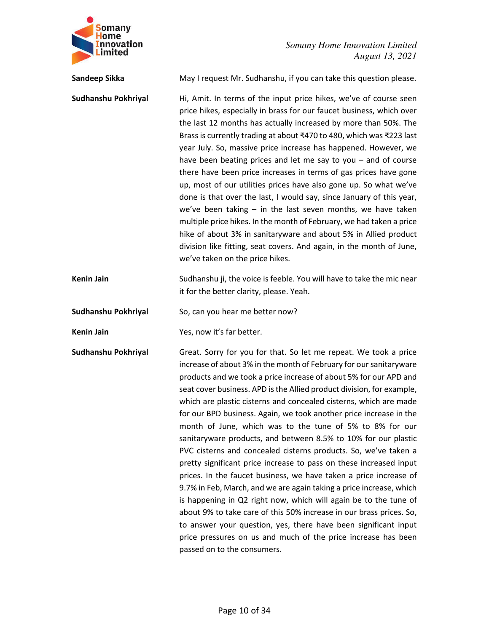

| Sandeep Sikka       | May I request Mr. Sudhanshu, if you can take this question please.                                                                                                                                                                                                                                                                                                                                                                                                                                                                                                                                                                                                                                                                                                                                                                                                                                                                                                                                                                                                                                                                                               |
|---------------------|------------------------------------------------------------------------------------------------------------------------------------------------------------------------------------------------------------------------------------------------------------------------------------------------------------------------------------------------------------------------------------------------------------------------------------------------------------------------------------------------------------------------------------------------------------------------------------------------------------------------------------------------------------------------------------------------------------------------------------------------------------------------------------------------------------------------------------------------------------------------------------------------------------------------------------------------------------------------------------------------------------------------------------------------------------------------------------------------------------------------------------------------------------------|
| Sudhanshu Pokhriyal | Hi, Amit. In terms of the input price hikes, we've of course seen<br>price hikes, especially in brass for our faucet business, which over<br>the last 12 months has actually increased by more than 50%. The<br>Brass is currently trading at about ₹470 to 480, which was ₹223 last<br>year July. So, massive price increase has happened. However, we<br>have been beating prices and let me say to you $-$ and of course<br>there have been price increases in terms of gas prices have gone<br>up, most of our utilities prices have also gone up. So what we've<br>done is that over the last, I would say, since January of this year,<br>we've been taking $-$ in the last seven months, we have taken<br>multiple price hikes. In the month of February, we had taken a price<br>hike of about 3% in sanitaryware and about 5% in Allied product<br>division like fitting, seat covers. And again, in the month of June,<br>we've taken on the price hikes.                                                                                                                                                                                              |
| <b>Kenin Jain</b>   | Sudhanshu ji, the voice is feeble. You will have to take the mic near<br>it for the better clarity, please. Yeah.                                                                                                                                                                                                                                                                                                                                                                                                                                                                                                                                                                                                                                                                                                                                                                                                                                                                                                                                                                                                                                                |
| Sudhanshu Pokhriyal | So, can you hear me better now?                                                                                                                                                                                                                                                                                                                                                                                                                                                                                                                                                                                                                                                                                                                                                                                                                                                                                                                                                                                                                                                                                                                                  |
| <b>Kenin Jain</b>   | Yes, now it's far better.                                                                                                                                                                                                                                                                                                                                                                                                                                                                                                                                                                                                                                                                                                                                                                                                                                                                                                                                                                                                                                                                                                                                        |
| Sudhanshu Pokhriyal | Great. Sorry for you for that. So let me repeat. We took a price<br>increase of about 3% in the month of February for our sanitaryware<br>products and we took a price increase of about 5% for our APD and<br>seat cover business. APD is the Allied product division, for example,<br>which are plastic cisterns and concealed cisterns, which are made<br>for our BPD business. Again, we took another price increase in the<br>month of June, which was to the tune of 5% to 8% for our<br>sanitaryware products, and between 8.5% to 10% for our plastic<br>PVC cisterns and concealed cisterns products. So, we've taken a<br>pretty significant price increase to pass on these increased input<br>prices. In the faucet business, we have taken a price increase of<br>9.7% in Feb, March, and we are again taking a price increase, which<br>is happening in Q2 right now, which will again be to the tune of<br>about 9% to take care of this 50% increase in our brass prices. So,<br>to answer your question, yes, there have been significant input<br>price pressures on us and much of the price increase has been<br>passed on to the consumers. |

Page 10 of 34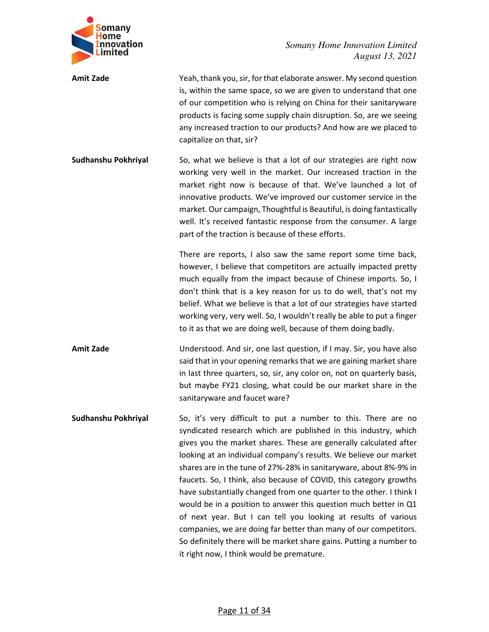

| <b>Amit Zade</b>    | Yeah, thank you, sir, for that elaborate answer. My second question<br>is, within the same space, so we are given to understand that one<br>of our competition who is relying on China for their sanitaryware<br>products is facing some supply chain disruption. So, are we seeing<br>any increased traction to our products? And how are we placed to<br>capitalize on that, sir?                                                                                                                                                                                                                                                                                                                                                                                                                                        |
|---------------------|----------------------------------------------------------------------------------------------------------------------------------------------------------------------------------------------------------------------------------------------------------------------------------------------------------------------------------------------------------------------------------------------------------------------------------------------------------------------------------------------------------------------------------------------------------------------------------------------------------------------------------------------------------------------------------------------------------------------------------------------------------------------------------------------------------------------------|
| Sudhanshu Pokhriyal | So, what we believe is that a lot of our strategies are right now<br>working very well in the market. Our increased traction in the<br>market right now is because of that. We've launched a lot of<br>innovative products. We've improved our customer service in the<br>market. Our campaign, Thoughtful is Beautiful, is doing fantastically<br>well. It's received fantastic response from the consumer. A large<br>part of the traction is because of these efforts.                                                                                                                                                                                                                                                                                                                                                  |
|                     | There are reports, I also saw the same report some time back,<br>however, I believe that competitors are actually impacted pretty<br>much equally from the impact because of Chinese imports. So, I<br>don't think that is a key reason for us to do well, that's not my<br>belief. What we believe is that a lot of our strategies have started<br>working very, very well. So, I wouldn't really be able to put a finger<br>to it as that we are doing well, because of them doing badly.                                                                                                                                                                                                                                                                                                                                |
| <b>Amit Zade</b>    | Understood. And sir, one last question, if I may. Sir, you have also<br>said that in your opening remarks that we are gaining market share<br>in last three quarters, so, sir, any color on, not on quarterly basis,<br>but maybe FY21 closing, what could be our market share in the<br>sanitaryware and faucet ware?                                                                                                                                                                                                                                                                                                                                                                                                                                                                                                     |
| Sudhanshu Pokhriyal | So, it's very difficult to put a number to this. There are no<br>syndicated research which are published in this industry, which<br>gives you the market shares. These are generally calculated after<br>looking at an individual company's results. We believe our market<br>shares are in the tune of 27%-28% in sanitaryware, about 8%-9% in<br>faucets. So, I think, also because of COVID, this category growths<br>have substantially changed from one quarter to the other. I think I<br>would be in a position to answer this question much better in Q1<br>of next year. But I can tell you looking at results of various<br>companies, we are doing far better than many of our competitors.<br>So definitely there will be market share gains. Putting a number to<br>it right now, I think would be premature. |

# Page 11 of 34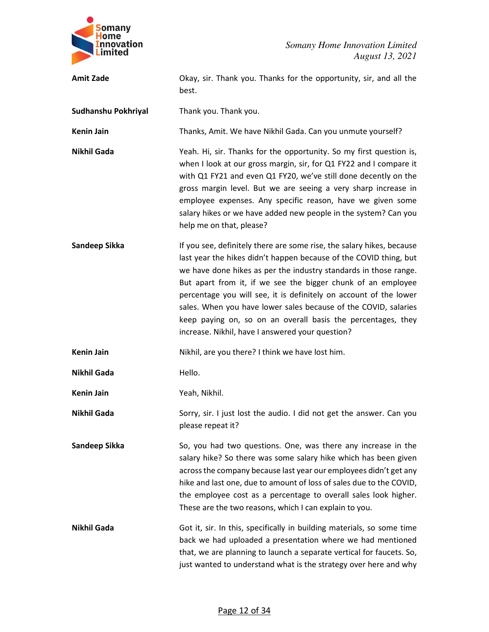

| <b>Amit Zade</b>    | Okay, sir. Thank you. Thanks for the opportunity, sir, and all the<br>best.                                                                                                                                                                                                                                                                                                                                                                                                                                                                |
|---------------------|--------------------------------------------------------------------------------------------------------------------------------------------------------------------------------------------------------------------------------------------------------------------------------------------------------------------------------------------------------------------------------------------------------------------------------------------------------------------------------------------------------------------------------------------|
| Sudhanshu Pokhriyal | Thank you. Thank you.                                                                                                                                                                                                                                                                                                                                                                                                                                                                                                                      |
| <b>Kenin Jain</b>   | Thanks, Amit. We have Nikhil Gada. Can you unmute yourself?                                                                                                                                                                                                                                                                                                                                                                                                                                                                                |
| <b>Nikhil Gada</b>  | Yeah. Hi, sir. Thanks for the opportunity. So my first question is,<br>when I look at our gross margin, sir, for Q1 FY22 and I compare it<br>with Q1 FY21 and even Q1 FY20, we've still done decently on the<br>gross margin level. But we are seeing a very sharp increase in<br>employee expenses. Any specific reason, have we given some<br>salary hikes or we have added new people in the system? Can you<br>help me on that, please?                                                                                                |
| Sandeep Sikka       | If you see, definitely there are some rise, the salary hikes, because<br>last year the hikes didn't happen because of the COVID thing, but<br>we have done hikes as per the industry standards in those range.<br>But apart from it, if we see the bigger chunk of an employee<br>percentage you will see, it is definitely on account of the lower<br>sales. When you have lower sales because of the COVID, salaries<br>keep paying on, so on an overall basis the percentages, they<br>increase. Nikhil, have I answered your question? |
| <b>Kenin Jain</b>   | Nikhil, are you there? I think we have lost him.                                                                                                                                                                                                                                                                                                                                                                                                                                                                                           |
| <b>Nikhil Gada</b>  | Hello.                                                                                                                                                                                                                                                                                                                                                                                                                                                                                                                                     |
| <b>Kenin Jain</b>   | Yeah, Nikhil.                                                                                                                                                                                                                                                                                                                                                                                                                                                                                                                              |
| <b>Nikhil Gada</b>  | Sorry, sir. I just lost the audio. I did not get the answer. Can you<br>please repeat it?                                                                                                                                                                                                                                                                                                                                                                                                                                                  |
| Sandeep Sikka       | So, you had two questions. One, was there any increase in the<br>salary hike? So there was some salary hike which has been given<br>across the company because last year our employees didn't get any<br>hike and last one, due to amount of loss of sales due to the COVID,<br>the employee cost as a percentage to overall sales look higher.<br>These are the two reasons, which I can explain to you.                                                                                                                                  |
| <b>Nikhil Gada</b>  | Got it, sir. In this, specifically in building materials, so some time<br>back we had uploaded a presentation where we had mentioned<br>that, we are planning to launch a separate vertical for faucets. So,<br>just wanted to understand what is the strategy over here and why                                                                                                                                                                                                                                                           |

# Page 12 of 34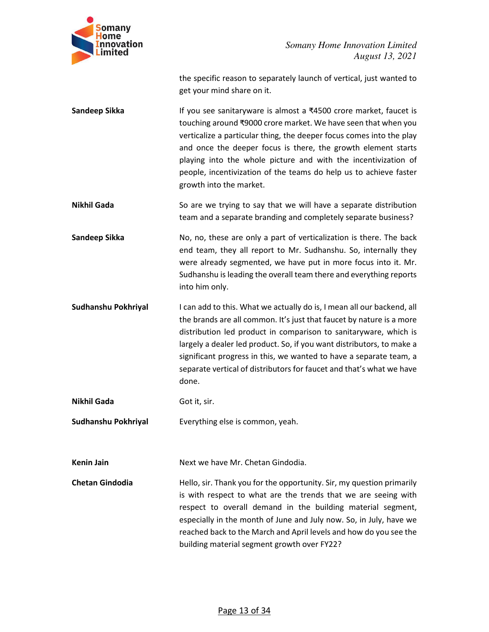

the specific reason to separately launch of vertical, just wanted to get your mind share on it.

- **Sandeep Sikka** If you see sanitaryware is almost a ₹4500 crore market, faucet is touching around ₹9000 crore market. We have seen that when you verticalize a particular thing, the deeper focus comes into the play and once the deeper focus is there, the growth element starts playing into the whole picture and with the incentivization of people, incentivization of the teams do help us to achieve faster growth into the market.
- **Nikhil Gada** So are we trying to say that we will have a separate distribution team and a separate branding and completely separate business?

**Sandeep Sikka No, no, these are only a part of verticalization is there. The back** end team, they all report to Mr. Sudhanshu. So, internally they were already segmented, we have put in more focus into it. Mr. Sudhanshu is leading the overall team there and everything reports into him only.

- **Sudhanshu Pokhriyal** I can add to this. What we actually do is, I mean all our backend, all the brands are all common. It's just that faucet by nature is a more distribution led product in comparison to sanitaryware, which is largely a dealer led product. So, if you want distributors, to make a significant progress in this, we wanted to have a separate team, a separate vertical of distributors for faucet and that's what we have done.
- **Nikhil Gada Got it, sir.**
- **Sudhanshu Pokhriyal** Everything else is common, yeah.

**Kenin Jain Next we have Mr. Chetan Gindodia.** 

**Chetan Gindodia** Hello, sir. Thank you for the opportunity. Sir, my question primarily is with respect to what are the trends that we are seeing with respect to overall demand in the building material segment, especially in the month of June and July now. So, in July, have we reached back to the March and April levels and how do you see the building material segment growth over FY22?

#### Page 13 of 34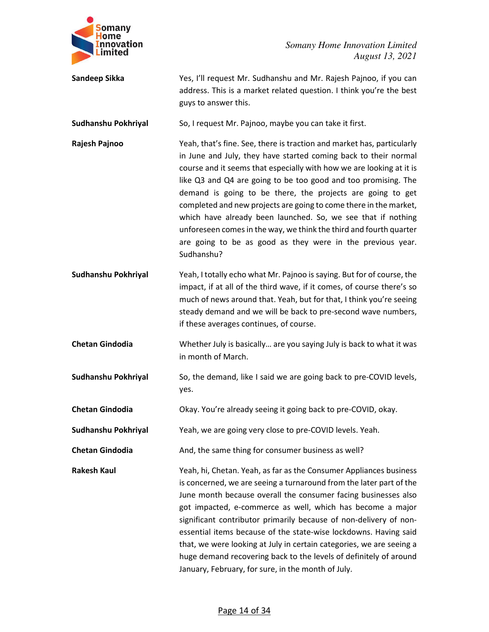

**Sandeep Sikka** Yes, I'll request Mr. Sudhanshu and Mr. Rajesh Pajnoo, if you can address. This is a market related question. I think you're the best guys to answer this.

**Sudhanshu Pokhriyal** So, I request Mr. Pajnoo, maybe you can take it first.

**Rajesh Pajnoo** Yeah, that's fine. See, there is traction and market has, particularly in June and July, they have started coming back to their normal course and it seems that especially with how we are looking at it is like Q3 and Q4 are going to be too good and too promising. The demand is going to be there, the projects are going to get completed and new projects are going to come there in the market, which have already been launched. So, we see that if nothing unforeseen comes in the way, we think the third and fourth quarter are going to be as good as they were in the previous year. Sudhanshu?

**Sudhanshu Pokhriyal** Yeah, I totally echo what Mr. Pajnoo is saying. But for of course, the impact, if at all of the third wave, if it comes, of course there's so much of news around that. Yeah, but for that, I think you're seeing steady demand and we will be back to pre-second wave numbers, if these averages continues, of course.

**Chetan Gindodia** Whether July is basically… are you saying July is back to what it was in month of March.

**Sudhanshu Pokhriyal So, the demand, like I said we are going back to pre-COVID levels,** yes.

**Chetan Gindodia** Okay. You're already seeing it going back to pre-COVID, okay.

**Sudhanshu Pokhriyal** Yeah, we are going very close to pre-COVID levels. Yeah.

**Chetan Gindodia** And, the same thing for consumer business as well?

**Rakesh Kaul** Yeah, hi, Chetan. Yeah, as far as the Consumer Appliances business is concerned, we are seeing a turnaround from the later part of the June month because overall the consumer facing businesses also got impacted, e-commerce as well, which has become a major significant contributor primarily because of non-delivery of nonessential items because of the state-wise lockdowns. Having said that, we were looking at July in certain categories, we are seeing a huge demand recovering back to the levels of definitely of around January, February, for sure, in the month of July.

#### Page 14 of 34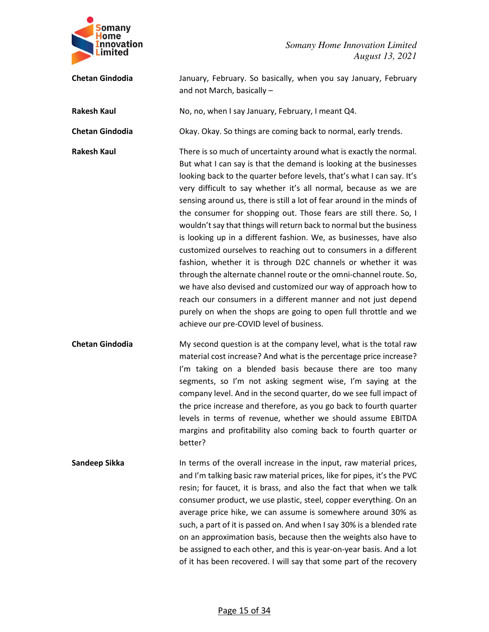

**Chetan Gindodia** January, February. So basically, when you say January, February and not March, basically –

**Rakesh Kaul** No, no, when I say January, February, I meant Q4.

**Chetan Gindodia** Okay. Okay. So things are coming back to normal, early trends.

**Rakesh Kaul** There is so much of uncertainty around what is exactly the normal. But what I can say is that the demand is looking at the businesses looking back to the quarter before levels, that's what I can say. It's very difficult to say whether it's all normal, because as we are sensing around us, there is still a lot of fear around in the minds of the consumer for shopping out. Those fears are still there. So, I wouldn't say that things will return back to normal but the business is looking up in a different fashion. We, as businesses, have also customized ourselves to reaching out to consumers in a different fashion, whether it is through D2C channels or whether it was through the alternate channel route or the omni-channel route. So, we have also devised and customized our way of approach how to reach our consumers in a different manner and not just depend purely on when the shops are going to open full throttle and we achieve our pre-COVID level of business.

**Chetan Gindodia** My second question is at the company level, what is the total raw material cost increase? And what is the percentage price increase? I'm taking on a blended basis because there are too many segments, so I'm not asking segment wise, I'm saying at the company level. And in the second quarter, do we see full impact of the price increase and therefore, as you go back to fourth quarter levels in terms of revenue, whether we should assume EBITDA margins and profitability also coming back to fourth quarter or better?

**Sandeep Sikka In terms of the overall increase in the input, raw material prices,** and I'm talking basic raw material prices, like for pipes, it's the PVC resin; for faucet, it is brass, and also the fact that when we talk consumer product, we use plastic, steel, copper everything. On an average price hike, we can assume is somewhere around 30% as such, a part of it is passed on. And when I say 30% is a blended rate on an approximation basis, because then the weights also have to be assigned to each other, and this is year-on-year basis. And a lot of it has been recovered. I will say that some part of the recovery

#### Page 15 of 34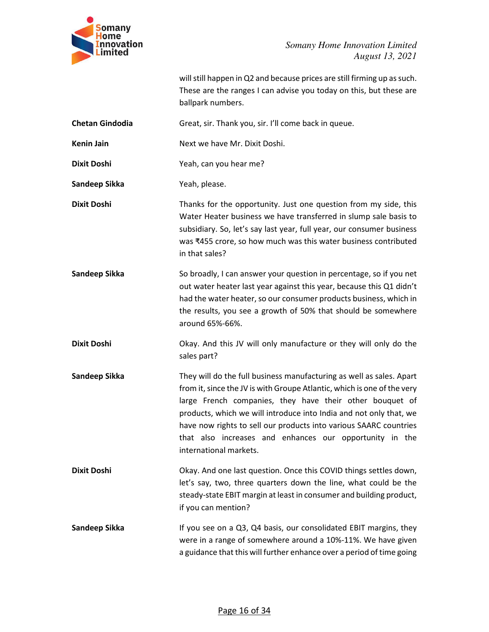

will still happen in Q2 and because prices are still firming up as such. These are the ranges I can advise you today on this, but these are ballpark numbers.

**Chetan Gindodia** Great, sir. Thank you, sir. I'll come back in queue.

**Kenin Jain 1988 18 Next we have Mr. Dixit Doshi.** 

**Dixit Doshi** Yeah, can you hear me?

Sandeep Sikka Yeah, please.

**Dixit Doshi Thanks for the opportunity. Just one question from my side, this** Water Heater business we have transferred in slump sale basis to subsidiary. So, let's say last year, full year, our consumer business was ₹455 crore, so how much was this water business contributed in that sales?

**Sandeep Sikka** So broadly, I can answer your question in percentage, so if you net out water heater last year against this year, because this Q1 didn't had the water heater, so our consumer products business, which in the results, you see a growth of 50% that should be somewhere around 65%-66%.

**Dixit Doshi C** Chay. And this JV will only manufacture or they will only do the sales part?

**Sandeep Sikka** They will do the full business manufacturing as well as sales. Apart from it, since the JV is with Groupe Atlantic, which is one of the very large French companies, they have their other bouquet of products, which we will introduce into India and not only that, we have now rights to sell our products into various SAARC countries that also increases and enhances our opportunity in the international markets.

**Dixit Doshi COVID 19.1 COVID COVID EXAMPLE 10.0 COVID COVID things settles down,** let's say, two, three quarters down the line, what could be the steady-state EBIT margin at least in consumer and building product, if you can mention?

**Sandeep Sikka** If you see on a Q3, Q4 basis, our consolidated EBIT margins, they were in a range of somewhere around a 10%-11%. We have given a guidance that this will further enhance over a period of time going

#### Page 16 of 34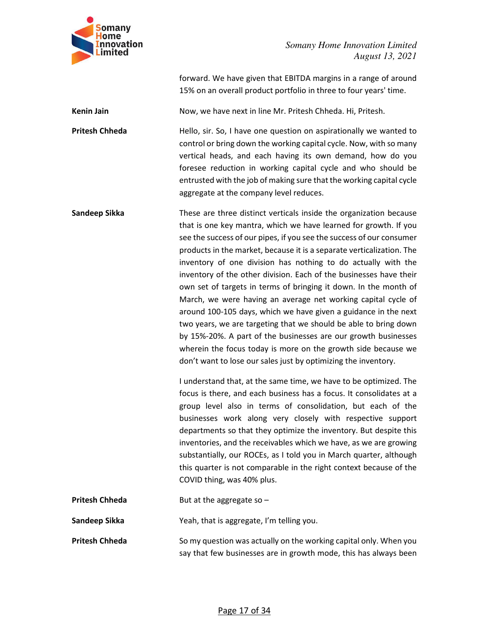

forward. We have given that EBITDA margins in a range of around 15% on an overall product portfolio in three to four years' time.

**Kenin Jain** Now, we have next in line Mr. Pritesh Chheda. Hi, Pritesh.

**Pritesh Chheda Hello, sir. So, I have one question on aspirationally we wanted to** control or bring down the working capital cycle. Now, with so many vertical heads, and each having its own demand, how do you foresee reduction in working capital cycle and who should be entrusted with the job of making sure that the working capital cycle aggregate at the company level reduces.

**Sandeep Sikka** These are three distinct verticals inside the organization because that is one key mantra, which we have learned for growth. If you see the success of our pipes, if you see the success of our consumer products in the market, because it is a separate verticalization. The inventory of one division has nothing to do actually with the inventory of the other division. Each of the businesses have their own set of targets in terms of bringing it down. In the month of March, we were having an average net working capital cycle of around 100-105 days, which we have given a guidance in the next two years, we are targeting that we should be able to bring down by 15%-20%. A part of the businesses are our growth businesses wherein the focus today is more on the growth side because we don't want to lose our sales just by optimizing the inventory.

> I understand that, at the same time, we have to be optimized. The focus is there, and each business has a focus. It consolidates at a group level also in terms of consolidation, but each of the businesses work along very closely with respective support departments so that they optimize the inventory. But despite this inventories, and the receivables which we have, as we are growing substantially, our ROCEs, as I told you in March quarter, although this quarter is not comparable in the right context because of the COVID thing, was 40% plus.

| <b>Pritesh Chheda</b> | But at the aggregate so $-$                                                                                                           |
|-----------------------|---------------------------------------------------------------------------------------------------------------------------------------|
| Sandeep Sikka         | Yeah, that is aggregate, I'm telling you.                                                                                             |
| <b>Pritesh Chheda</b> | So my question was actually on the working capital only. When you<br>say that few businesses are in growth mode, this has always been |

#### Page 17 of 34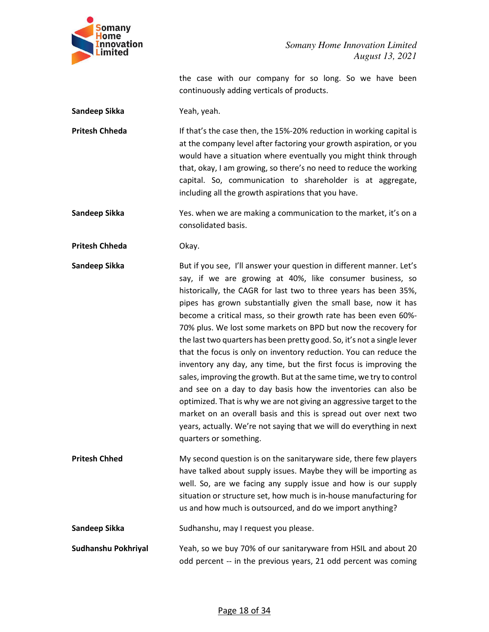

the case with our company for so long. So we have been continuously adding verticals of products.

**Sandeep Sikka** Yeah, yeah.

**Pritesh Chheda** If that's the case then, the 15%-20% reduction in working capital is at the company level after factoring your growth aspiration, or you would have a situation where eventually you might think through that, okay, I am growing, so there's no need to reduce the working capital. So, communication to shareholder is at aggregate, including all the growth aspirations that you have.

**Sandeep Sikka** Yes. when we are making a communication to the market, it's on a consolidated basis.

**Pritesh Chheda Okay.** 

**Sandeep Sikka** But if you see, I'll answer your question in different manner. Let's say, if we are growing at 40%, like consumer business, so historically, the CAGR for last two to three years has been 35%, pipes has grown substantially given the small base, now it has become a critical mass, so their growth rate has been even 60%- 70% plus. We lost some markets on BPD but now the recovery for the last two quarters has been pretty good. So, it's not a single lever that the focus is only on inventory reduction. You can reduce the inventory any day, any time, but the first focus is improving the sales, improving the growth. But at the same time, we try to control and see on a day to day basis how the inventories can also be optimized. That is why we are not giving an aggressive target to the market on an overall basis and this is spread out over next two years, actually. We're not saying that we will do everything in next quarters or something.

**Pritesh Chhed My second question is on the sanitaryware side, there few players** have talked about supply issues. Maybe they will be importing as well. So, are we facing any supply issue and how is our supply situation or structure set, how much is in-house manufacturing for us and how much is outsourced, and do we import anything?

**Sandeep Sikka** Sudhanshu, may I request you please.

**Sudhanshu Pokhriyal** Yeah, so we buy 70% of our sanitaryware from HSIL and about 20 odd percent -- in the previous years, 21 odd percent was coming

#### Page 18 of 34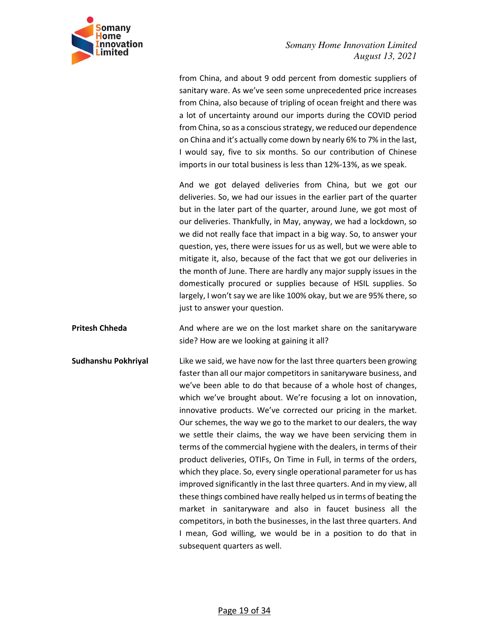

from China, and about 9 odd percent from domestic suppliers of sanitary ware. As we've seen some unprecedented price increases from China, also because of tripling of ocean freight and there was a lot of uncertainty around our imports during the COVID period from China, so as a conscious strategy, we reduced our dependence on China and it's actually come down by nearly 6% to 7% in the last, I would say, five to six months. So our contribution of Chinese imports in our total business is less than 12%-13%, as we speak.

And we got delayed deliveries from China, but we got our deliveries. So, we had our issues in the earlier part of the quarter but in the later part of the quarter, around June, we got most of our deliveries. Thankfully, in May, anyway, we had a lockdown, so we did not really face that impact in a big way. So, to answer your question, yes, there were issues for us as well, but we were able to mitigate it, also, because of the fact that we got our deliveries in the month of June. There are hardly any major supply issues in the domestically procured or supplies because of HSIL supplies. So largely, I won't say we are like 100% okay, but we are 95% there, so just to answer your question.

**Pritesh Chheda And where are we on the lost market share on the sanitaryware** side? How are we looking at gaining it all?

**Sudhanshu Pokhriyal** Like we said, we have now for the last three quarters been growing faster than all our major competitors in sanitaryware business, and we've been able to do that because of a whole host of changes, which we've brought about. We're focusing a lot on innovation, innovative products. We've corrected our pricing in the market. Our schemes, the way we go to the market to our dealers, the way we settle their claims, the way we have been servicing them in terms of the commercial hygiene with the dealers, in terms of their product deliveries, OTIFs, On Time in Full, in terms of the orders, which they place. So, every single operational parameter for us has improved significantly in the last three quarters. And in my view, all these things combined have really helped us in terms of beating the market in sanitaryware and also in faucet business all the competitors, in both the businesses, in the last three quarters. And I mean, God willing, we would be in a position to do that in subsequent quarters as well.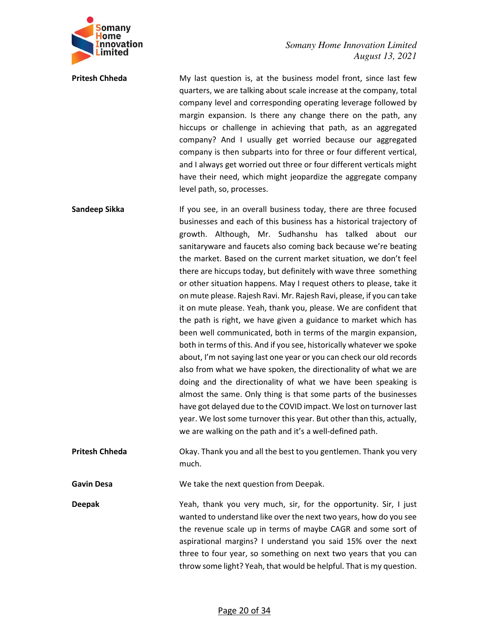

**Pritesh Chheda** My last question is, at the business model front, since last few quarters, we are talking about scale increase at the company, total company level and corresponding operating leverage followed by margin expansion. Is there any change there on the path, any hiccups or challenge in achieving that path, as an aggregated company? And I usually get worried because our aggregated company is then subparts into for three or four different vertical, and I always get worried out three or four different verticals might have their need, which might jeopardize the aggregate company level path, so, processes.

**Sandeep Sikka** If you see, in an overall business today, there are three focused businesses and each of this business has a historical trajectory of growth. Although, Mr. Sudhanshu has talked about our sanitaryware and faucets also coming back because we're beating the market. Based on the current market situation, we don't feel there are hiccups today, but definitely with wave three something or other situation happens. May I request others to please, take it on mute please. Rajesh Ravi. Mr. Rajesh Ravi, please, if you can take it on mute please. Yeah, thank you, please. We are confident that the path is right, we have given a guidance to market which has been well communicated, both in terms of the margin expansion, both in terms of this. And if you see, historically whatever we spoke about, I'm not saying last one year or you can check our old records also from what we have spoken, the directionality of what we are doing and the directionality of what we have been speaking is almost the same. Only thing is that some parts of the businesses have got delayed due to the COVID impact. We lost on turnover last year. We lost some turnover this year. But other than this, actually, we are walking on the path and it's a well-defined path.

**Pritesh Chheda Change Changes** Okay. Thank you and all the best to you gentlemen. Thank you very much.

**Gavin Desa We take the next question from Deepak.** 

**Deepak** Yeah, thank you very much, sir, for the opportunity. Sir, I just wanted to understand like over the next two years, how do you see the revenue scale up in terms of maybe CAGR and some sort of aspirational margins? I understand you said 15% over the next three to four year, so something on next two years that you can throw some light? Yeah, that would be helpful. That is my question.

#### Page 20 of 34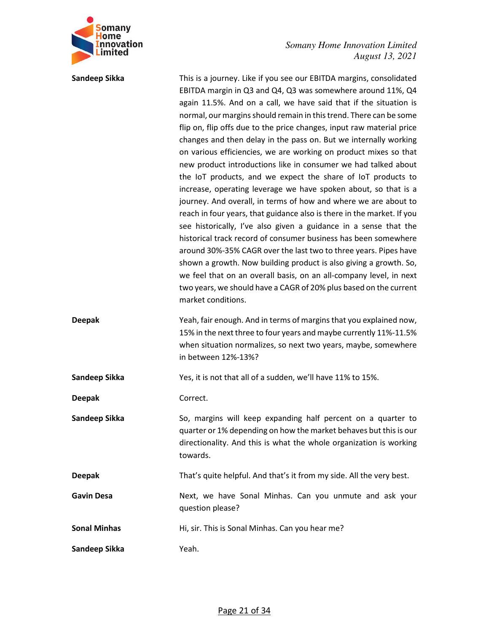

**Sandeep Sikka** This is a journey. Like if you see our EBITDA margins, consolidated EBITDA margin in Q3 and Q4, Q3 was somewhere around 11%, Q4 again 11.5%. And on a call, we have said that if the situation is normal, our margins should remain in this trend. There can be some flip on, flip offs due to the price changes, input raw material price changes and then delay in the pass on. But we internally working on various efficiencies, we are working on product mixes so that new product introductions like in consumer we had talked about the IoT products, and we expect the share of IoT products to increase, operating leverage we have spoken about, so that is a journey. And overall, in terms of how and where we are about to reach in four years, that guidance also is there in the market. If you see historically, I've also given a guidance in a sense that the historical track record of consumer business has been somewhere around 30%-35% CAGR over the last two to three years. Pipes have shown a growth. Now building product is also giving a growth. So, we feel that on an overall basis, on an all-company level, in next two years, we should have a CAGR of 20% plus based on the current market conditions. **Deepak** Yeah, fair enough. And in terms of margins that you explained now, 15% in the next three to four years and maybe currently 11%-11.5% when situation normalizes, so next two years, maybe, somewhere in between 12%-13%? **Sandeep Sikka** Yes, it is not that all of a sudden, we'll have 11% to 15%. **Deepak** Correct. **Sandeep Sikka** 50, margins will keep expanding half percent on a quarter to quarter or 1% depending on how the market behaves but this is our directionality. And this is what the whole organization is working towards. **Deepak** That's quite helpful. And that's it from my side. All the very best. **Gavin Desa** Next, we have Sonal Minhas. Can you unmute and ask your question please? **Sonal Minhas** Hi, sir. This is Sonal Minhas. Can you hear me? **Sandeep Sikka Yeah.**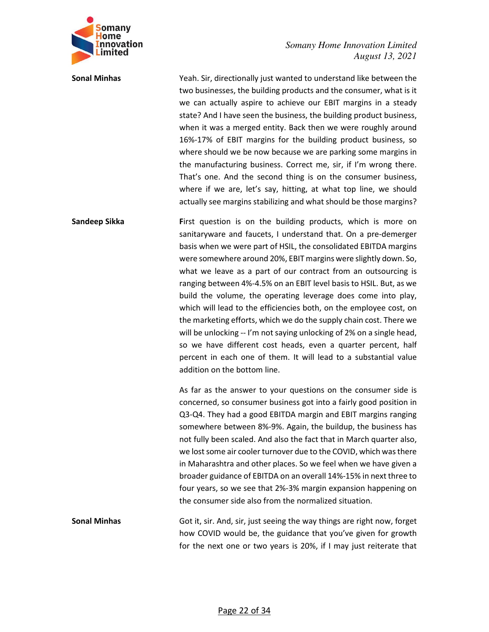

**Sonal Minhas** Yeah. Sir, directionally just wanted to understand like between the two businesses, the building products and the consumer, what is it we can actually aspire to achieve our EBIT margins in a steady state? And I have seen the business, the building product business, when it was a merged entity. Back then we were roughly around 16%-17% of EBIT margins for the building product business, so where should we be now because we are parking some margins in the manufacturing business. Correct me, sir, if I'm wrong there. That's one. And the second thing is on the consumer business, where if we are, let's say, hitting, at what top line, we should actually see margins stabilizing and what should be those margins?

**Sandeep Sikka First question is on the building products, which is more on** sanitaryware and faucets, I understand that. On a pre-demerger basis when we were part of HSIL, the consolidated EBITDA margins were somewhere around 20%, EBIT margins were slightly down. So, what we leave as a part of our contract from an outsourcing is ranging between 4%-4.5% on an EBIT level basis to HSIL. But, as we build the volume, the operating leverage does come into play, which will lead to the efficiencies both, on the employee cost, on the marketing efforts, which we do the supply chain cost. There we will be unlocking -- I'm not saying unlocking of 2% on a single head, so we have different cost heads, even a quarter percent, half percent in each one of them. It will lead to a substantial value addition on the bottom line.

> As far as the answer to your questions on the consumer side is concerned, so consumer business got into a fairly good position in Q3-Q4. They had a good EBITDA margin and EBIT margins ranging somewhere between 8%-9%. Again, the buildup, the business has not fully been scaled. And also the fact that in March quarter also, we lost some air cooler turnover due to the COVID, which was there in Maharashtra and other places. So we feel when we have given a broader guidance of EBITDA on an overall 14%-15% in next three to four years, so we see that 2%-3% margin expansion happening on the consumer side also from the normalized situation.

**Sonal Minhas** Got it, sir. And, sir, just seeing the way things are right now, forget how COVID would be, the guidance that you've given for growth for the next one or two years is 20%, if I may just reiterate that

#### Page 22 of 34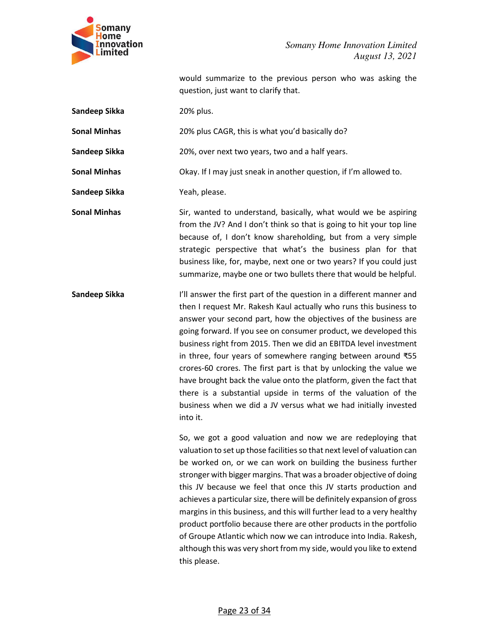

would summarize to the previous person who was asking the question, just want to clarify that.

**Sandeep Sikka** 20% plus.

**Sonal Minhas** 20% plus CAGR, this is what you'd basically do?

**Sandeep Sikka** 20%, over next two years, two and a half years.

**Sonal Minhas** Okay. If I may just sneak in another question, if I'm allowed to.

**Sandeep Sikka** Yeah, please.

**Sonal Minhas** Sir, wanted to understand, basically, what would we be aspiring from the JV? And I don't think so that is going to hit your top line because of, I don't know shareholding, but from a very simple strategic perspective that what's the business plan for that business like, for, maybe, next one or two years? If you could just summarize, maybe one or two bullets there that would be helpful.

**Sandeep Sikka** I'll answer the first part of the question in a different manner and then I request Mr. Rakesh Kaul actually who runs this business to answer your second part, how the objectives of the business are going forward. If you see on consumer product, we developed this business right from 2015. Then we did an EBITDA level investment in three, four years of somewhere ranging between around ₹55 crores-60 crores. The first part is that by unlocking the value we have brought back the value onto the platform, given the fact that there is a substantial upside in terms of the valuation of the business when we did a JV versus what we had initially invested into it.

> So, we got a good valuation and now we are redeploying that valuation to set up those facilities so that next level of valuation can be worked on, or we can work on building the business further stronger with bigger margins. That was a broader objective of doing this JV because we feel that once this JV starts production and achieves a particular size, there will be definitely expansion of gross margins in this business, and this will further lead to a very healthy product portfolio because there are other products in the portfolio of Groupe Atlantic which now we can introduce into India. Rakesh, although this was very short from my side, would you like to extend this please.

> > Page 23 of 34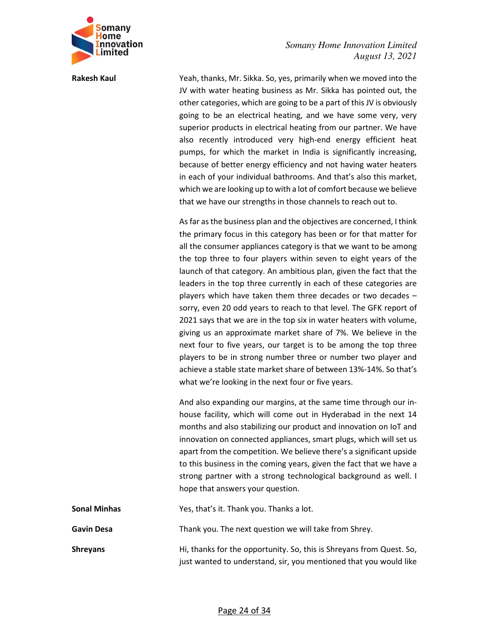

**Rakesh Kaul** Yeah, thanks, Mr. Sikka. So, yes, primarily when we moved into the JV with water heating business as Mr. Sikka has pointed out, the other categories, which are going to be a part of this JV is obviously going to be an electrical heating, and we have some very, very superior products in electrical heating from our partner. We have also recently introduced very high-end energy efficient heat pumps, for which the market in India is significantly increasing, because of better energy efficiency and not having water heaters in each of your individual bathrooms. And that's also this market, which we are looking up to with a lot of comfort because we believe that we have our strengths in those channels to reach out to.

> As far as the business plan and the objectives are concerned, I think the primary focus in this category has been or for that matter for all the consumer appliances category is that we want to be among the top three to four players within seven to eight years of the launch of that category. An ambitious plan, given the fact that the leaders in the top three currently in each of these categories are players which have taken them three decades or two decades – sorry, even 20 odd years to reach to that level. The GFK report of 2021 says that we are in the top six in water heaters with volume, giving us an approximate market share of 7%. We believe in the next four to five years, our target is to be among the top three players to be in strong number three or number two player and achieve a stable state market share of between 13%-14%. So that's what we're looking in the next four or five years.

> And also expanding our margins, at the same time through our inhouse facility, which will come out in Hyderabad in the next 14 months and also stabilizing our product and innovation on IoT and innovation on connected appliances, smart plugs, which will set us apart from the competition. We believe there's a significant upside to this business in the coming years, given the fact that we have a strong partner with a strong technological background as well. I hope that answers your question.

> just wanted to understand, sir, you mentioned that you would like

| Sonal Minhas    | Yes, that's it. Thank you. Thanks a lot.                             |
|-----------------|----------------------------------------------------------------------|
| Gavin Desa      | Thank you. The next question we will take from Shrey.                |
| <b>Shreyans</b> | Hi, thanks for the opportunity. So, this is Shreyans from Quest. So, |

#### Page 24 of 34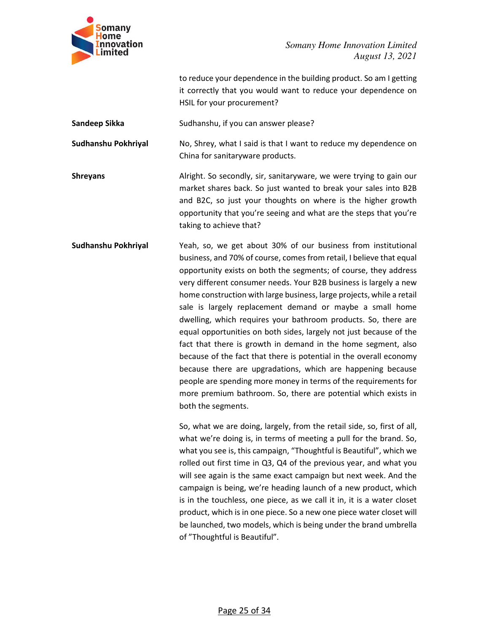

to reduce your dependence in the building product. So am I getting it correctly that you would want to reduce your dependence on HSIL for your procurement?

**Sandeep Sikka** Sudhanshu, if you can answer please?

**Sudhanshu Pokhriyal** No, Shrey, what I said is that I want to reduce my dependence on China for sanitaryware products.

**Shreyans Example 20** Alright. So secondly, sir, sanitaryware, we were trying to gain our market shares back. So just wanted to break your sales into B2B and B2C, so just your thoughts on where is the higher growth opportunity that you're seeing and what are the steps that you're taking to achieve that?

**Sudhanshu Pokhriyal** Yeah, so, we get about 30% of our business from institutional business, and 70% of course, comes from retail, I believe that equal opportunity exists on both the segments; of course, they address very different consumer needs. Your B2B business is largely a new home construction with large business, large projects, while a retail sale is largely replacement demand or maybe a small home dwelling, which requires your bathroom products. So, there are equal opportunities on both sides, largely not just because of the fact that there is growth in demand in the home segment, also because of the fact that there is potential in the overall economy because there are upgradations, which are happening because people are spending more money in terms of the requirements for more premium bathroom. So, there are potential which exists in both the segments.

> So, what we are doing, largely, from the retail side, so, first of all, what we're doing is, in terms of meeting a pull for the brand. So, what you see is, this campaign, "Thoughtful is Beautiful", which we rolled out first time in Q3, Q4 of the previous year, and what you will see again is the same exact campaign but next week. And the campaign is being, we're heading launch of a new product, which is in the touchless, one piece, as we call it in, it is a water closet product, which is in one piece. So a new one piece water closet will be launched, two models, which is being under the brand umbrella of "Thoughtful is Beautiful".

> > Page 25 of 34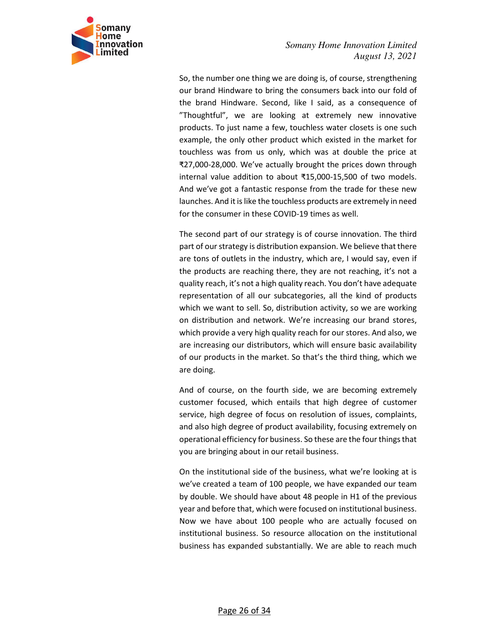

So, the number one thing we are doing is, of course, strengthening our brand Hindware to bring the consumers back into our fold of the brand Hindware. Second, like I said, as a consequence of "Thoughtful", we are looking at extremely new innovative products. To just name a few, touchless water closets is one such example, the only other product which existed in the market for touchless was from us only, which was at double the price at ₹27,000-28,000. We've actually brought the prices down through internal value addition to about ₹15,000-15,500 of two models. And we've got a fantastic response from the trade for these new launches. And it is like the touchless products are extremely in need for the consumer in these COVID-19 times as well.

The second part of our strategy is of course innovation. The third part of our strategy is distribution expansion. We believe that there are tons of outlets in the industry, which are, I would say, even if the products are reaching there, they are not reaching, it's not a quality reach, it's not a high quality reach. You don't have adequate representation of all our subcategories, all the kind of products which we want to sell. So, distribution activity, so we are working on distribution and network. We're increasing our brand stores, which provide a very high quality reach for our stores. And also, we are increasing our distributors, which will ensure basic availability of our products in the market. So that's the third thing, which we are doing.

And of course, on the fourth side, we are becoming extremely customer focused, which entails that high degree of customer service, high degree of focus on resolution of issues, complaints, and also high degree of product availability, focusing extremely on operational efficiency for business. So these are the four things that you are bringing about in our retail business.

On the institutional side of the business, what we're looking at is we've created a team of 100 people, we have expanded our team by double. We should have about 48 people in H1 of the previous year and before that, which were focused on institutional business. Now we have about 100 people who are actually focused on institutional business. So resource allocation on the institutional business has expanded substantially. We are able to reach much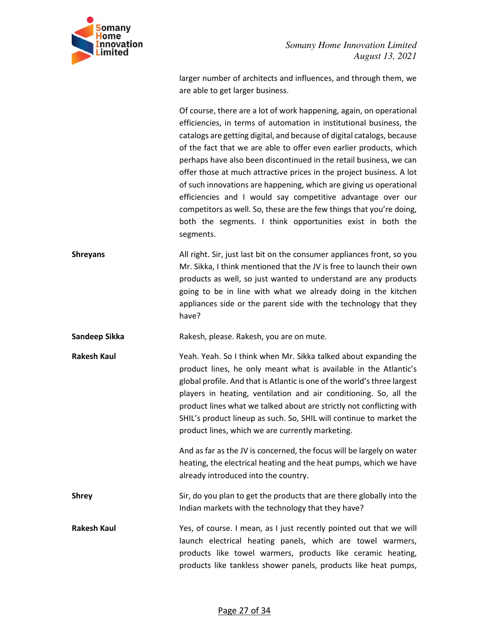

larger number of architects and influences, and through them, we are able to get larger business.

Of course, there are a lot of work happening, again, on operational efficiencies, in terms of automation in institutional business, the catalogs are getting digital, and because of digital catalogs, because of the fact that we are able to offer even earlier products, which perhaps have also been discontinued in the retail business, we can offer those at much attractive prices in the project business. A lot of such innovations are happening, which are giving us operational efficiencies and I would say competitive advantage over our competitors as well. So, these are the few things that you're doing, both the segments. I think opportunities exist in both the segments.

**Shreyans** All right. Sir, just last bit on the consumer appliances front, so you Mr. Sikka, I think mentioned that the JV is free to launch their own products as well, so just wanted to understand are any products going to be in line with what we already doing in the kitchen appliances side or the parent side with the technology that they have?

**Sandeep Sikka Rakesh, please. Rakesh, you are on mute.** 

**Rakesh Kaul** Yeah. Yeah. So I think when Mr. Sikka talked about expanding the product lines, he only meant what is available in the Atlantic's global profile. And that is Atlantic is one of the world's three largest players in heating, ventilation and air conditioning. So, all the product lines what we talked about are strictly not conflicting with SHIL's product lineup as such. So, SHIL will continue to market the product lines, which we are currently marketing.

> And as far as the JV is concerned, the focus will be largely on water heating, the electrical heating and the heat pumps, which we have already introduced into the country.

**Shrey** Sir, do you plan to get the products that are there globally into the Indian markets with the technology that they have?

**Rakesh Kaul** Yes, of course. I mean, as I just recently pointed out that we will launch electrical heating panels, which are towel warmers, products like towel warmers, products like ceramic heating, products like tankless shower panels, products like heat pumps,

#### Page 27 of 34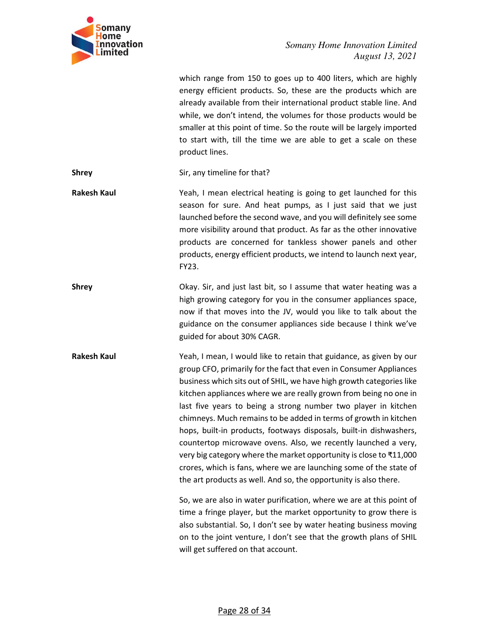

which range from 150 to goes up to 400 liters, which are highly energy efficient products. So, these are the products which are already available from their international product stable line. And while, we don't intend, the volumes for those products would be smaller at this point of time. So the route will be largely imported to start with, till the time we are able to get a scale on these product lines.

**Shrey** Sir, any timeline for that?

**Rakesh Kaul** Yeah, I mean electrical heating is going to get launched for this season for sure. And heat pumps, as I just said that we just launched before the second wave, and you will definitely see some more visibility around that product. As far as the other innovative products are concerned for tankless shower panels and other products, energy efficient products, we intend to launch next year, FY23.

**Shrey** Shrew Okay. Sir, and just last bit, so I assume that water heating was a high growing category for you in the consumer appliances space, now if that moves into the JV, would you like to talk about the guidance on the consumer appliances side because I think we've guided for about 30% CAGR.

**Rakesh Kaul** Yeah, I mean, I would like to retain that guidance, as given by our group CFO, primarily for the fact that even in Consumer Appliances business which sits out of SHIL, we have high growth categories like kitchen appliances where we are really grown from being no one in last five years to being a strong number two player in kitchen chimneys. Much remains to be added in terms of growth in kitchen hops, built-in products, footways disposals, built-in dishwashers, countertop microwave ovens. Also, we recently launched a very, very big category where the market opportunity is close to ₹11,000 crores, which is fans, where we are launching some of the state of the art products as well. And so, the opportunity is also there.

> So, we are also in water purification, where we are at this point of time a fringe player, but the market opportunity to grow there is also substantial. So, I don't see by water heating business moving on to the joint venture, I don't see that the growth plans of SHIL will get suffered on that account.

> > Page 28 of 34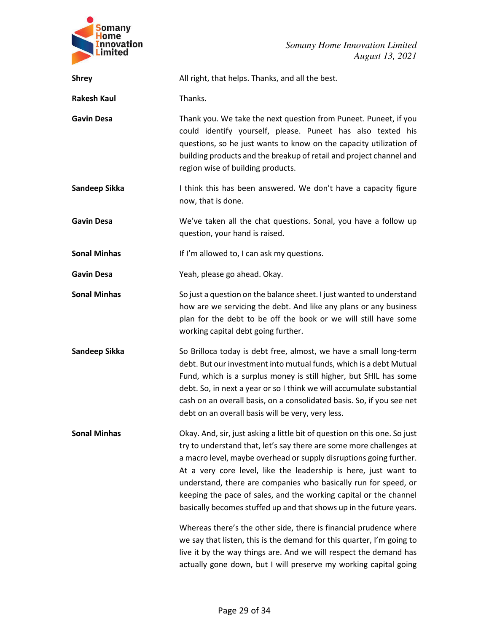

| <b>Shrey</b>        | All right, that helps. Thanks, and all the best.                                                                                                                                                                                                                                                                                                                                                                                                                                                         |
|---------------------|----------------------------------------------------------------------------------------------------------------------------------------------------------------------------------------------------------------------------------------------------------------------------------------------------------------------------------------------------------------------------------------------------------------------------------------------------------------------------------------------------------|
| <b>Rakesh Kaul</b>  | Thanks.                                                                                                                                                                                                                                                                                                                                                                                                                                                                                                  |
| <b>Gavin Desa</b>   | Thank you. We take the next question from Puneet. Puneet, if you<br>could identify yourself, please. Puneet has also texted his<br>questions, so he just wants to know on the capacity utilization of<br>building products and the breakup of retail and project channel and<br>region wise of building products.                                                                                                                                                                                        |
| Sandeep Sikka       | I think this has been answered. We don't have a capacity figure<br>now, that is done.                                                                                                                                                                                                                                                                                                                                                                                                                    |
| <b>Gavin Desa</b>   | We've taken all the chat questions. Sonal, you have a follow up<br>question, your hand is raised.                                                                                                                                                                                                                                                                                                                                                                                                        |
| <b>Sonal Minhas</b> | If I'm allowed to, I can ask my questions.                                                                                                                                                                                                                                                                                                                                                                                                                                                               |
| <b>Gavin Desa</b>   | Yeah, please go ahead. Okay.                                                                                                                                                                                                                                                                                                                                                                                                                                                                             |
| <b>Sonal Minhas</b> | So just a question on the balance sheet. I just wanted to understand<br>how are we servicing the debt. And like any plans or any business<br>plan for the debt to be off the book or we will still have some<br>working capital debt going further.                                                                                                                                                                                                                                                      |
| Sandeep Sikka       | So Brilloca today is debt free, almost, we have a small long-term<br>debt. But our investment into mutual funds, which is a debt Mutual<br>Fund, which is a surplus money is still higher, but SHIL has some<br>debt. So, in next a year or so I think we will accumulate substantial<br>cash on an overall basis, on a consolidated basis. So, if you see net<br>debt on an overall basis will be very, very less.                                                                                      |
| <b>Sonal Minhas</b> | Okay. And, sir, just asking a little bit of question on this one. So just<br>try to understand that, let's say there are some more challenges at<br>a macro level, maybe overhead or supply disruptions going further.<br>At a very core level, like the leadership is here, just want to<br>understand, there are companies who basically run for speed, or<br>keeping the pace of sales, and the working capital or the channel<br>basically becomes stuffed up and that shows up in the future years. |
|                     | Whereas there's the other side, there is financial prudence where<br>we say that listen, this is the demand for this quarter, I'm going to<br>live it by the way things are. And we will respect the demand has<br>actually gone down, but I will preserve my working capital going                                                                                                                                                                                                                      |

### Page 29 of 34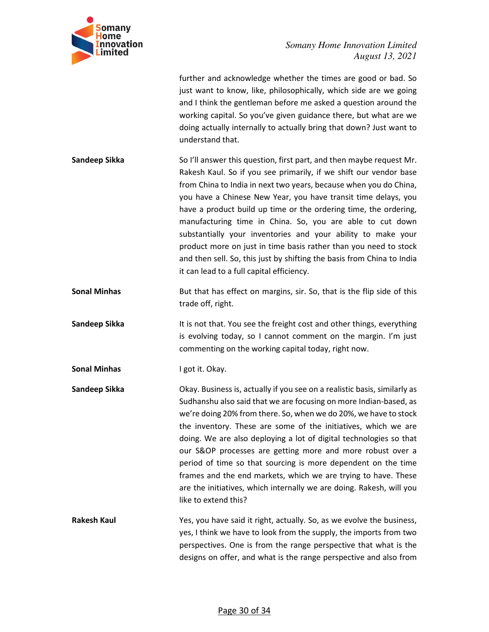

|                     | further and acknowledge whether the times are good or bad. So<br>just want to know, like, philosophically, which side are we going<br>and I think the gentleman before me asked a question around the<br>working capital. So you've given guidance there, but what are we<br>doing actually internally to actually bring that down? Just want to<br>understand that.                                                                                                                                                                                                                                                                                                         |
|---------------------|------------------------------------------------------------------------------------------------------------------------------------------------------------------------------------------------------------------------------------------------------------------------------------------------------------------------------------------------------------------------------------------------------------------------------------------------------------------------------------------------------------------------------------------------------------------------------------------------------------------------------------------------------------------------------|
| Sandeep Sikka       | So I'll answer this question, first part, and then maybe request Mr.<br>Rakesh Kaul. So if you see primarily, if we shift our vendor base<br>from China to India in next two years, because when you do China,<br>you have a Chinese New Year, you have transit time delays, you<br>have a product build up time or the ordering time, the ordering,<br>manufacturing time in China. So, you are able to cut down<br>substantially your inventories and your ability to make your<br>product more on just in time basis rather than you need to stock<br>and then sell. So, this just by shifting the basis from China to India<br>it can lead to a full capital efficiency. |
| <b>Sonal Minhas</b> | But that has effect on margins, sir. So, that is the flip side of this<br>trade off, right.                                                                                                                                                                                                                                                                                                                                                                                                                                                                                                                                                                                  |
| Sandeep Sikka       | It is not that. You see the freight cost and other things, everything<br>is evolving today, so I cannot comment on the margin. I'm just<br>commenting on the working capital today, right now.                                                                                                                                                                                                                                                                                                                                                                                                                                                                               |
| <b>Sonal Minhas</b> | I got it. Okay.                                                                                                                                                                                                                                                                                                                                                                                                                                                                                                                                                                                                                                                              |
| Sandeep Sikka       | Okay. Business is, actually if you see on a realistic basis, similarly as<br>Sudhanshu also said that we are focusing on more Indian-based, as<br>we're doing 20% from there. So, when we do 20%, we have to stock<br>the inventory. These are some of the initiatives, which we are<br>doing. We are also deploying a lot of digital technologies so that<br>our S&OP processes are getting more and more robust over a<br>period of time so that sourcing is more dependent on the time<br>frames and the end markets, which we are trying to have. These<br>are the initiatives, which internally we are doing. Rakesh, will you<br>like to extend this?                  |
| <b>Rakesh Kaul</b>  | Yes, you have said it right, actually. So, as we evolve the business,<br>yes, I think we have to look from the supply, the imports from two<br>perspectives. One is from the range perspective that what is the<br>designs on offer, and what is the range perspective and also from                                                                                                                                                                                                                                                                                                                                                                                         |

# Page 30 of 34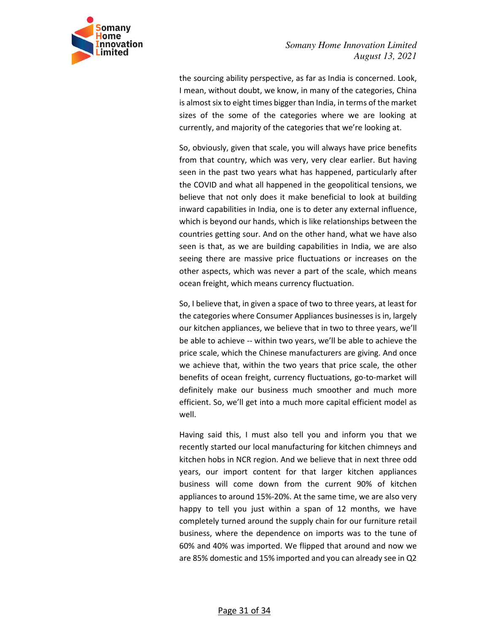

the sourcing ability perspective, as far as India is concerned. Look, I mean, without doubt, we know, in many of the categories, China is almost six to eight times bigger than India, in terms of the market sizes of the some of the categories where we are looking at currently, and majority of the categories that we're looking at.

So, obviously, given that scale, you will always have price benefits from that country, which was very, very clear earlier. But having seen in the past two years what has happened, particularly after the COVID and what all happened in the geopolitical tensions, we believe that not only does it make beneficial to look at building inward capabilities in India, one is to deter any external influence, which is beyond our hands, which is like relationships between the countries getting sour. And on the other hand, what we have also seen is that, as we are building capabilities in India, we are also seeing there are massive price fluctuations or increases on the other aspects, which was never a part of the scale, which means ocean freight, which means currency fluctuation.

So, I believe that, in given a space of two to three years, at least for the categories where Consumer Appliances businesses is in, largely our kitchen appliances, we believe that in two to three years, we'll be able to achieve -- within two years, we'll be able to achieve the price scale, which the Chinese manufacturers are giving. And once we achieve that, within the two years that price scale, the other benefits of ocean freight, currency fluctuations, go-to-market will definitely make our business much smoother and much more efficient. So, we'll get into a much more capital efficient model as well.

Having said this, I must also tell you and inform you that we recently started our local manufacturing for kitchen chimneys and kitchen hobs in NCR region. And we believe that in next three odd years, our import content for that larger kitchen appliances business will come down from the current 90% of kitchen appliances to around 15%-20%. At the same time, we are also very happy to tell you just within a span of 12 months, we have completely turned around the supply chain for our furniture retail business, where the dependence on imports was to the tune of 60% and 40% was imported. We flipped that around and now we are 85% domestic and 15% imported and you can already see in Q2

#### Page 31 of 34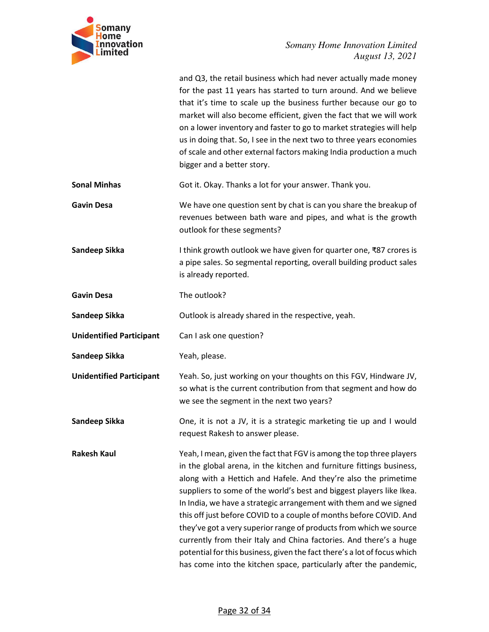

|                                 | and Q3, the retail business which had never actually made money<br>for the past 11 years has started to turn around. And we believe<br>that it's time to scale up the business further because our go to<br>market will also become efficient, given the fact that we will work<br>on a lower inventory and faster to go to market strategies will help<br>us in doing that. So, I see in the next two to three years economies<br>of scale and other external factors making India production a much<br>bigger and a better story.                                                                                                                                                                                             |
|---------------------------------|---------------------------------------------------------------------------------------------------------------------------------------------------------------------------------------------------------------------------------------------------------------------------------------------------------------------------------------------------------------------------------------------------------------------------------------------------------------------------------------------------------------------------------------------------------------------------------------------------------------------------------------------------------------------------------------------------------------------------------|
| <b>Sonal Minhas</b>             | Got it. Okay. Thanks a lot for your answer. Thank you.                                                                                                                                                                                                                                                                                                                                                                                                                                                                                                                                                                                                                                                                          |
| <b>Gavin Desa</b>               | We have one question sent by chat is can you share the breakup of<br>revenues between bath ware and pipes, and what is the growth<br>outlook for these segments?                                                                                                                                                                                                                                                                                                                                                                                                                                                                                                                                                                |
| Sandeep Sikka                   | I think growth outlook we have given for quarter one, ₹87 crores is<br>a pipe sales. So segmental reporting, overall building product sales<br>is already reported.                                                                                                                                                                                                                                                                                                                                                                                                                                                                                                                                                             |
| <b>Gavin Desa</b>               | The outlook?                                                                                                                                                                                                                                                                                                                                                                                                                                                                                                                                                                                                                                                                                                                    |
| Sandeep Sikka                   | Outlook is already shared in the respective, yeah.                                                                                                                                                                                                                                                                                                                                                                                                                                                                                                                                                                                                                                                                              |
| <b>Unidentified Participant</b> | Can I ask one question?                                                                                                                                                                                                                                                                                                                                                                                                                                                                                                                                                                                                                                                                                                         |
| Sandeep Sikka                   | Yeah, please.                                                                                                                                                                                                                                                                                                                                                                                                                                                                                                                                                                                                                                                                                                                   |
| <b>Unidentified Participant</b> | Yeah. So, just working on your thoughts on this FGV, Hindware JV,<br>so what is the current contribution from that segment and how do<br>we see the segment in the next two years?                                                                                                                                                                                                                                                                                                                                                                                                                                                                                                                                              |
| Sandeep Sikka                   | One, it is not a JV, it is a strategic marketing tie up and I would<br>request Rakesh to answer please.                                                                                                                                                                                                                                                                                                                                                                                                                                                                                                                                                                                                                         |
| <b>Rakesh Kaul</b>              | Yeah, I mean, given the fact that FGV is among the top three players<br>in the global arena, in the kitchen and furniture fittings business,<br>along with a Hettich and Hafele. And they're also the primetime<br>suppliers to some of the world's best and biggest players like Ikea.<br>In India, we have a strategic arrangement with them and we signed<br>this off just before COVID to a couple of months before COVID. And<br>they've got a very superior range of products from which we source<br>currently from their Italy and China factories. And there's a huge<br>potential for this business, given the fact there's a lot of focus which<br>has come into the kitchen space, particularly after the pandemic, |

# Page 32 of 34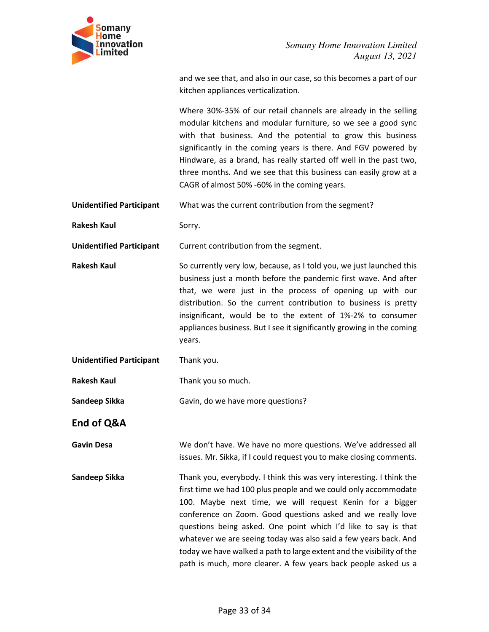

and we see that, and also in our case, so this becomes a part of our kitchen appliances verticalization.

Where 30%-35% of our retail channels are already in the selling modular kitchens and modular furniture, so we see a good sync with that business. And the potential to grow this business significantly in the coming years is there. And FGV powered by Hindware, as a brand, has really started off well in the past two, three months. And we see that this business can easily grow at a CAGR of almost 50% -60% in the coming years.

**Unidentified Participant** What was the current contribution from the segment?

**Rakesh Kaul Sorry.** 

**Unidentified Participant** Current contribution from the segment.

**Rakesh Kaul** So currently very low, because, as I told you, we just launched this business just a month before the pandemic first wave. And after that, we were just in the process of opening up with our distribution. So the current contribution to business is pretty insignificant, would be to the extent of 1%-2% to consumer appliances business. But I see it significantly growing in the coming years.

**Unidentified Participant** Thank you.

**Rakesh Kaul** Thank you so much.

Sandeep Sikka **Gavin, do we have more questions?** 

**End of Q&A** 

**Gavin Desa** We don't have. We have no more questions. We've addressed all issues. Mr. Sikka, if I could request you to make closing comments.

**Sandeep Sikka** Thank you, everybody. I think this was very interesting. I think the first time we had 100 plus people and we could only accommodate 100. Maybe next time, we will request Kenin for a bigger conference on Zoom. Good questions asked and we really love questions being asked. One point which I'd like to say is that whatever we are seeing today was also said a few years back. And today we have walked a path to large extent and the visibility of the path is much, more clearer. A few years back people asked us a

#### Page 33 of 34